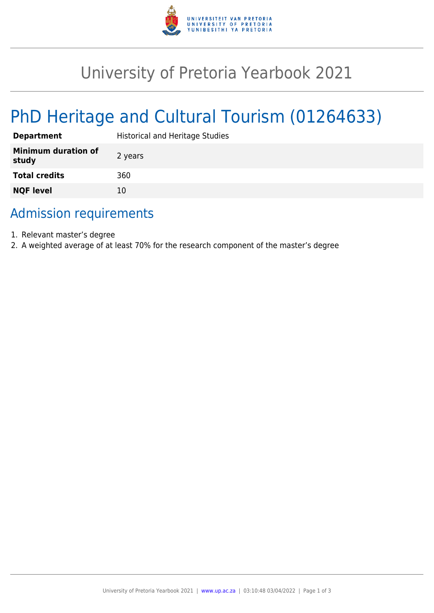

## University of Pretoria Yearbook 2021

# PhD Heritage and Cultural Tourism (01264633)

| <b>Department</b>                   | <b>Historical and Heritage Studies</b> |
|-------------------------------------|----------------------------------------|
| <b>Minimum duration of</b><br>study | 2 years                                |
| <b>Total credits</b>                | 360                                    |
| <b>NQF level</b>                    | 10                                     |

### Admission requirements

- 1. Relevant master's degree
- 2. A weighted average of at least 70% for the research component of the master's degree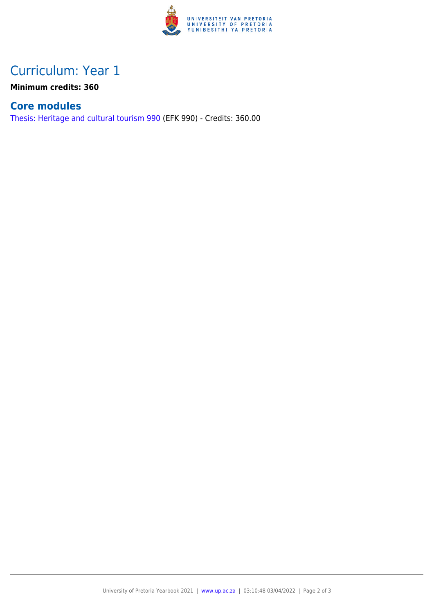

## Curriculum: Year 1

**Minimum credits: 360**

#### **Core modules**

[Thesis: Heritage and cultural tourism 990](https://www.up.ac.za/yearbooks/2021/modules/view/EFK 990) (EFK 990) - Credits: 360.00